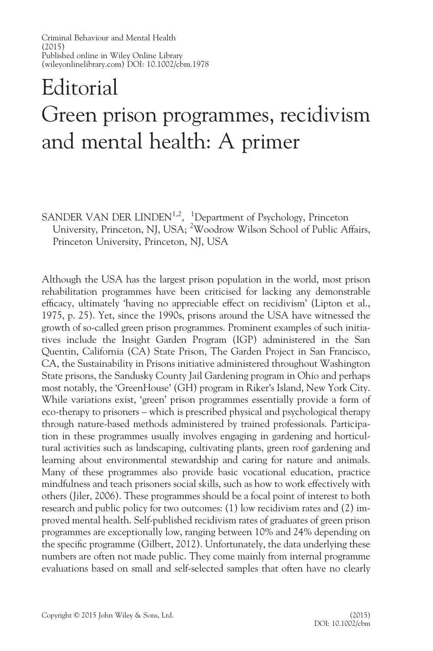## Editorial Green prison programmes, recidivism and mental health: A primer

SANDER VAN DER LINDEN<sup>1,2</sup>, <sup>1</sup>Department of Psychology, Princeton University, Princeton, NJ, USA; <sup>2</sup>Woodrow Wilson School of Public Affairs, Princeton University, Princeton, NJ, USA

Although the USA has the largest prison population in the world, most prison rehabilitation programmes have been criticised for lacking any demonstrable efficacy, ultimately 'having no appreciable effect on recidivism' (Lipton et al., 1975, p. 25). Yet, since the 1990s, prisons around the USA have witnessed the growth of so-called green prison programmes. Prominent examples of such initiatives include the Insight Garden Program (IGP) administered in the San Quentin, California (CA) State Prison, The Garden Project in San Francisco, CA, the Sustainability in Prisons initiative administered throughout Washington State prisons, the Sandusky County Jail Gardening program in Ohio and perhaps most notably, the 'GreenHouse' (GH) program in Riker's Island, New York City. While variations exist, 'green' prison programmes essentially provide a form of eco-therapy to prisoners – which is prescribed physical and psychological therapy through nature-based methods administered by trained professionals. Participation in these programmes usually involves engaging in gardening and horticultural activities such as landscaping, cultivating plants, green roof gardening and learning about environmental stewardship and caring for nature and animals. Many of these programmes also provide basic vocational education, practice mindfulness and teach prisoners social skills, such as how to work effectively with others (Jiler, 2006). These programmes should be a focal point of interest to both research and public policy for two outcomes: (1) low recidivism rates and (2) improved mental health. Self-published recidivism rates of graduates of green prison programmes are exceptionally low, ranging between 10% and 24% depending on the specific programme (Gilbert, 2012). Unfortunately, the data underlying these numbers are often not made public. They come mainly from internal programme evaluations based on small and self-selected samples that often have no clearly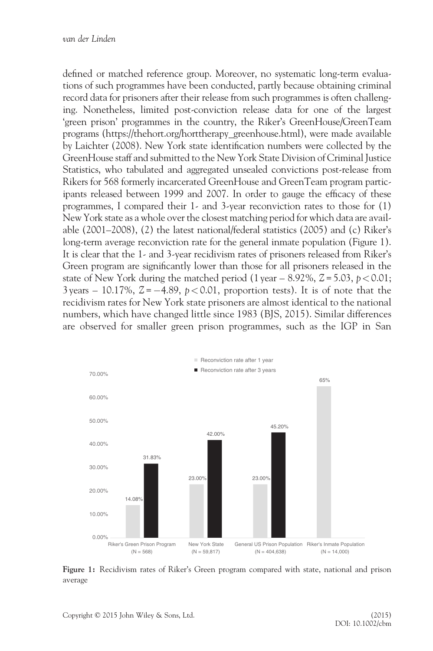defined or matched reference group. Moreover, no systematic long-term evaluations of such programmes have been conducted, partly because obtaining criminal record data for prisoners after their release from such programmes is often challenging. Nonetheless, limited post-conviction release data for one of the largest 'green prison' programmes in the country, the Riker's GreenHouse/GreenTeam programs [\(https://thehort.org/horttherapy\\_greenhouse.html](https://thehort.org/horttherapy_greenhouse.html)), were made available by Laichter (2008). New York state identification numbers were collected by the GreenHouse staff and submitted to the New York State Division of Criminal Justice Statistics, who tabulated and aggregated unsealed convictions post-release from Rikers for 568 formerly incarcerated GreenHouse and GreenTeam program participants released between 1999 and 2007. In order to gauge the efficacy of these programmes, I compared their 1- and 3-year reconviction rates to those for (1) New York state as a whole over the closest matching period for which data are available (2001–2008), (2) the latest national/federal statistics (2005) and (c) Riker's long-term average reconviction rate for the general inmate population (Figure 1). It is clear that the 1- and 3-year recidivism rates of prisoners released from Riker's Green program are significantly lower than those for all prisoners released in the state of New York during the matched period (1 year – 8.92%,  $Z = 5.03$ ,  $p < 0.01$ ;  $3 \text{ years} - 10.17\%$ ,  $Z = -4.89$ ,  $p < 0.01$ , proportion tests). It is of note that the recidivism rates for New York state prisoners are almost identical to the national numbers, which have changed little since 1983 (BJS, 2015). Similar differences are observed for smaller green prison programmes, such as the IGP in San



Figure 1: Recidivism rates of Riker's Green program compared with state, national and prison average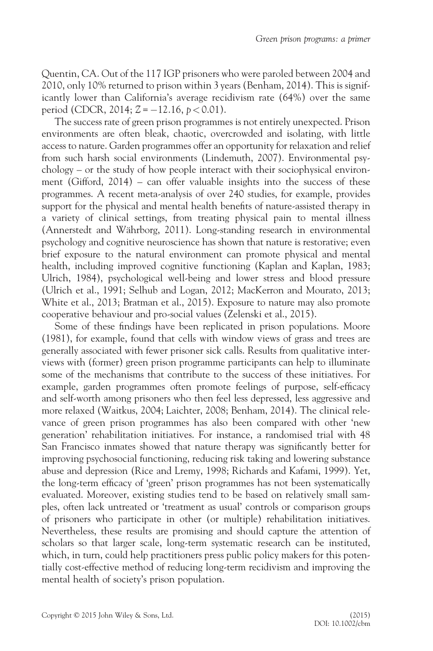Quentin, CA. Out of the 117 IGP prisoners who were paroled between 2004 and 2010, only 10% returned to prison within 3 years (Benham, 2014). This is significantly lower than California's average recidivism rate (64%) over the same period (CDCR, 2014;  $Z = -12.16$ ,  $p < 0.01$ ).

The success rate of green prison programmes is not entirely unexpected. Prison environments are often bleak, chaotic, overcrowded and isolating, with little access to nature. Garden programmes offer an opportunity for relaxation and relief from such harsh social environments (Lindemuth, 2007). Environmental psychology – or the study of how people interact with their sociophysical environment (Gifford, 2014) – can offer valuable insights into the success of these programmes. A recent meta-analysis of over 240 studies, for example, provides support for the physical and mental health benefits of nature-assisted therapy in a variety of clinical settings, from treating physical pain to mental illness (Annerstedt and Währborg, 2011). Long-standing research in environmental psychology and cognitive neuroscience has shown that nature is restorative; even brief exposure to the natural environment can promote physical and mental health, including improved cognitive functioning (Kaplan and Kaplan, 1983; Ulrich, 1984), psychological well-being and lower stress and blood pressure (Ulrich et al., 1991; Selhub and Logan, 2012; MacKerron and Mourato, 2013; White et al., 2013; Bratman et al., 2015). Exposure to nature may also promote cooperative behaviour and pro-social values (Zelenski et al., 2015).

Some of these findings have been replicated in prison populations. Moore (1981), for example, found that cells with window views of grass and trees are generally associated with fewer prisoner sick calls. Results from qualitative interviews with (former) green prison programme participants can help to illuminate some of the mechanisms that contribute to the success of these initiatives. For example, garden programmes often promote feelings of purpose, self-efficacy and self-worth among prisoners who then feel less depressed, less aggressive and more relaxed (Waitkus, 2004; Laichter, 2008; Benham, 2014). The clinical relevance of green prison programmes has also been compared with other 'new generation' rehabilitation initiatives. For instance, a randomised trial with 48 San Francisco inmates showed that nature therapy was significantly better for improving psychosocial functioning, reducing risk taking and lowering substance abuse and depression (Rice and Lremy, 1998; Richards and Kafami, 1999). Yet, the long-term efficacy of 'green' prison programmes has not been systematically evaluated. Moreover, existing studies tend to be based on relatively small samples, often lack untreated or 'treatment as usual' controls or comparison groups of prisoners who participate in other (or multiple) rehabilitation initiatives. Nevertheless, these results are promising and should capture the attention of scholars so that larger scale, long-term systematic research can be instituted, which, in turn, could help practitioners press public policy makers for this potentially cost-effective method of reducing long-term recidivism and improving the mental health of society's prison population.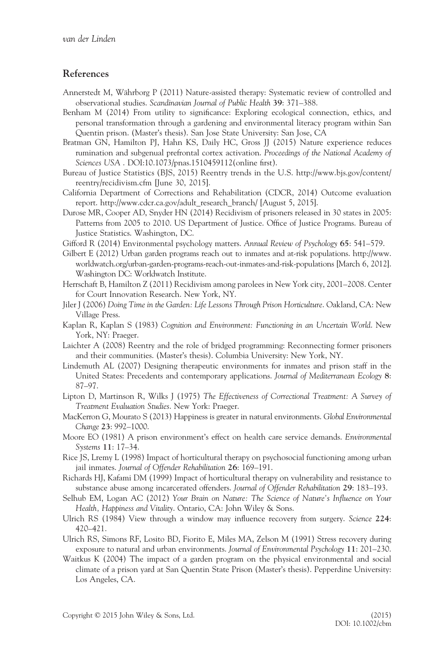- Annerstedt M, Währborg P (2011) Nature-assisted therapy: Systematic review of controlled and observational studies. Scandinavian Journal of Public Health 39: 371–388.
- Benham M (2014) From utility to significance: Exploring ecological connection, ethics, and personal transformation through a gardening and environmental literacy program within San Quentin prison. (Master's thesis). San Jose State University: San Jose, CA
- Bratman GN, Hamilton PJ, Hahn KS, Daily HC, Gross JJ (2015) Nature experience reduces rumination and subgenual prefrontal cortex activation. Proceedings of the National Academy of Sciences USA . DOI:10.1073/pnas.1510459112(online first).
- Bureau of Justice Statistics (BJS, 2015) Reentry trends in the U.S. [http://www.bjs.gov/content/](http://www.bjs.gov/content/reentry/recidivism.cfm) [reentry/recidivism.cfm](http://www.bjs.gov/content/reentry/recidivism.cfm) [June 30, 2015].
- California Department of Corrections and Rehabilitation (CDCR, 2014) Outcome evaluation report. [http://www.cdcr.ca.gov/adult\\_research\\_branch/](http://www.cdcr.ca.gov/adult_research_branch/) [August 5, 2015].
- Durose MR, Cooper AD, Snyder HN (2014) Recidivism of prisoners released in 30 states in 2005: Patterns from 2005 to 2010. US Department of Justice. Office of Justice Programs. Bureau of Justice Statistics. Washington, DC.
- Gifford R (2014) Environmental psychology matters. Annual Review of Psychology 65: 541–579.
- Gilbert E (2012) Urban garden programs reach out to inmates and at-risk populations. [http://www.](http://www.worldwatch.org/urban-garden-programs-reach-out-inmates-and-risk-populations) [worldwatch.org/urban-garden-programs-reach-out-inmates-and-risk-populations](http://www.worldwatch.org/urban-garden-programs-reach-out-inmates-and-risk-populations) [March 6, 2012]. Washington DC: Worldwatch Institute.
- Herrschaft B, Hamilton Z (2011) Recidivism among parolees in New York city, 2001–2008. Center for Court Innovation Research. New York, NY.
- Jiler J (2006) Doing Time in the Garden: Life Lessons Through Prison Horticulture. Oakland, CA: New Village Press.
- Kaplan R, Kaplan S (1983) Cognition and Environment: Functioning in an Uncertain World. New York, NY: Praeger.
- Laichter A (2008) Reentry and the role of bridged programming: Reconnecting former prisoners and their communities. (Master's thesis). Columbia University: New York, NY.
- Lindemuth AL (2007) Designing therapeutic environments for inmates and prison staff in the United States: Precedents and contemporary applications. Journal of Mediterranean Ecology 8: 87–97.
- Lipton D, Martinson R, Wilks J (1975) The Effectiveness of Correctional Treatment: A Survey of Treatment Evaluation Studies. New York: Praeger.
- MacKerron G, Mourato S (2013) Happiness is greater in natural environments. Global Environmental Change 23: 992–1000.
- Moore EO (1981) A prison environment's effect on health care service demands. Environmental Systems 11: 17–34.
- Rice JS, Lremy L (1998) Impact of horticultural therapy on psychosocial functioning among urban jail inmates. Journal of Offender Rehabilitation 26: 169–191.
- Richards HJ, Kafami DM (1999) Impact of horticultural therapy on vulnerability and resistance to substance abuse among incarcerated offenders. Journal of Offender Rehabilitation 29: 183–193.
- Selhub EM, Logan AC (2012) Your Brain on Nature: The Science of Nature's Influence on Your Health, Happiness and Vitality. Ontario, CA: John Wiley & Sons.
- Ulrich RS (1984) View through a window may influence recovery from surgery. Science 224: 420–421.
- Ulrich RS, Simons RF, Losito BD, Fiorito E, Miles MA, Zelson M (1991) Stress recovery during exposure to natural and urban environments. Journal of Environmental Psychology 11: 201–230.
- Waitkus K (2004) The impact of a garden program on the physical environmental and social climate of a prison yard at San Quentin State Prison (Master's thesis). Pepperdine University: Los Angeles, CA.